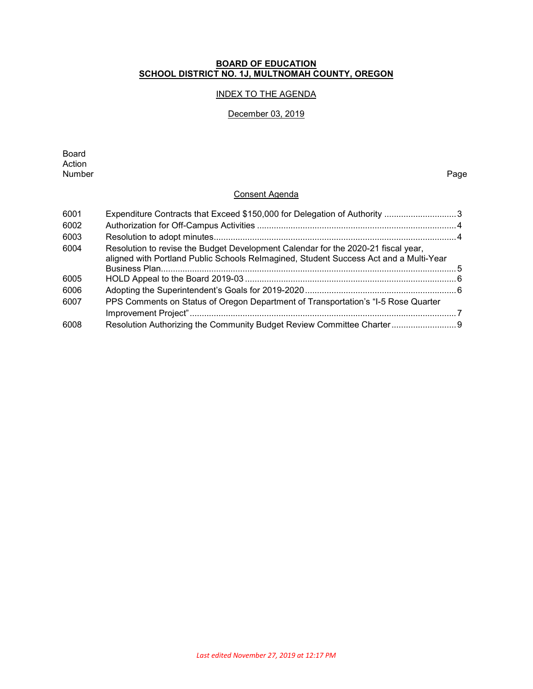#### **BOARD OF EDUCATION SCHOOL DISTRICT NO. 1J, MULTNOMAH COUNTY, OREGON**

## INDEX TO THE AGENDA

## December 03, 2019

Board Action<br>Number Number Page

## Consent Agenda

| 6001 | Expenditure Contracts that Exceed \$150,000 for Delegation of Authority 3                                                                                                  |  |
|------|----------------------------------------------------------------------------------------------------------------------------------------------------------------------------|--|
| 6002 |                                                                                                                                                                            |  |
| 6003 |                                                                                                                                                                            |  |
| 6004 | Resolution to revise the Budget Development Calendar for the 2020-21 fiscal year,<br>aligned with Portland Public Schools Relmagined, Student Success Act and a Multi-Year |  |
| 6005 |                                                                                                                                                                            |  |
| 6006 |                                                                                                                                                                            |  |
| 6007 | PPS Comments on Status of Oregon Department of Transportation's "I-5 Rose Quarter                                                                                          |  |
| 6008 | Resolution Authorizing the Community Budget Review Committee Charter 9                                                                                                     |  |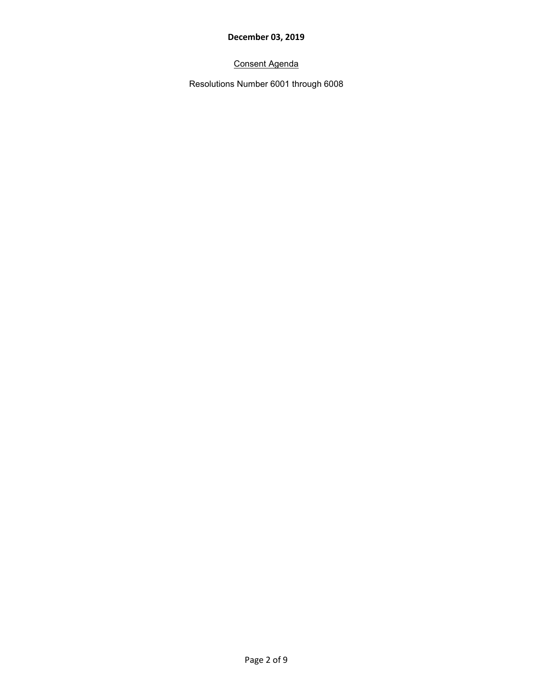# Consent Agenda

Resolutions Number 6001 through 6008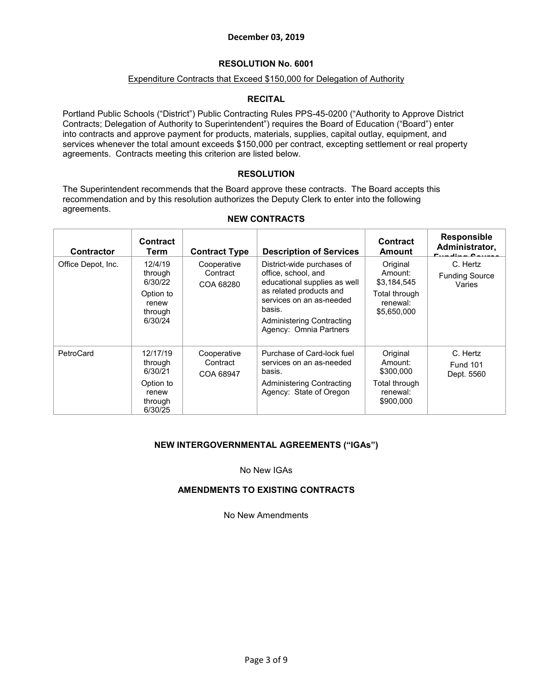## **RESOLUTION No. 6001**

### Expenditure Contracts that Exceed \$150,000 for Delegation of Authority

## **RECITAL**

Portland Public Schools ("District") Public Contracting Rules PPS-45-0200 ("Authority to Approve District Contracts; Delegation of Authority to Superintendent") requires the Board of Education ("Board") enter into contracts and approve payment for products, materials, supplies, capital outlay, equipment, and services whenever the total amount exceeds \$150,000 per contract, excepting settlement or real property agreements. Contracts meeting this criterion are listed below.

## **RESOLUTION**

The Superintendent recommends that the Board approve these contracts. The Board accepts this recommendation and by this resolution authorizes the Deputy Clerk to enter into the following agreements.

| <b>Contractor</b>  | <b>Contract</b><br>Term                                                    | <b>Contract Type</b>                 | <b>Description of Services</b>                                                                                                                                                                                   | <b>Contract</b><br>Amount                                                      | <b>Responsible</b><br>Administrator,<br>$E1$ $E2$ $E3$ $E4$ |
|--------------------|----------------------------------------------------------------------------|--------------------------------------|------------------------------------------------------------------------------------------------------------------------------------------------------------------------------------------------------------------|--------------------------------------------------------------------------------|-------------------------------------------------------------|
| Office Depot, Inc. | 12/4/19<br>through<br>6/30/22<br>Option to<br>renew<br>through<br>6/30/24  | Cooperative<br>Contract<br>COA 68280 | District-wide purchases of<br>office, school, and<br>educational supplies as well<br>as related products and<br>services on an as-needed<br>basis.<br><b>Administering Contracting</b><br>Agency: Omnia Partners | Original<br>Amount:<br>\$3,184,545<br>Total through<br>renewal:<br>\$5,650,000 | C. Hertz<br><b>Funding Source</b><br>Varies                 |
| PetroCard          | 12/17/19<br>through<br>6/30/21<br>Option to<br>renew<br>through<br>6/30/25 | Cooperative<br>Contract<br>COA 68947 | Purchase of Card-lock fuel<br>services on an as-needed<br>basis.<br>Administering Contracting<br>Agency: State of Oregon                                                                                         | Original<br>Amount:<br>\$300,000<br>Total through<br>renewal:<br>\$900,000     | C. Hertz<br><b>Fund 101</b><br>Dept. 5560                   |

#### **NEW CONTRACTS**

## **NEW INTERGOVERNMENTAL AGREEMENTS ("IGAs")**

No New IGAs

## **AMENDMENTS TO EXISTING CONTRACTS**

No New Amendments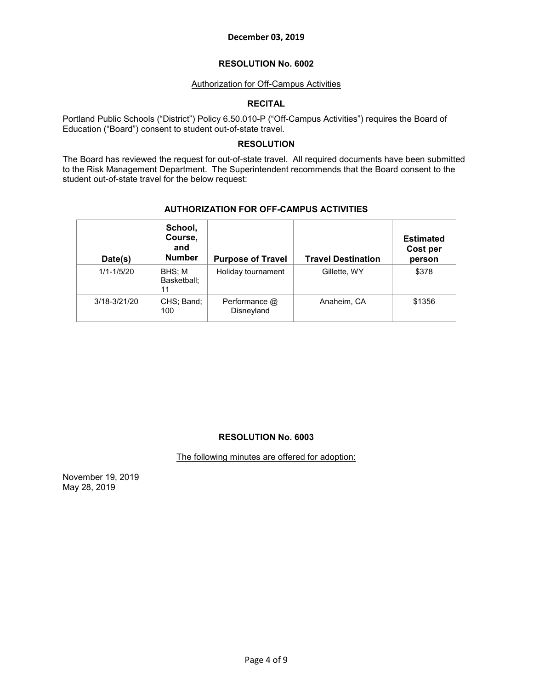### **RESOLUTION No. 6002**

### Authorization for Off-Campus Activities

## **RECITAL**

Portland Public Schools ("District") Policy 6.50.010-P ("Off-Campus Activities") requires the Board of Education ("Board") consent to student out-of-state travel.

## **RESOLUTION**

The Board has reviewed the request for out-of-state travel. All required documents have been submitted to the Risk Management Department. The Superintendent recommends that the Board consent to the student out-of-state travel for the below request:

| Date(s)        | School,<br>Course,<br>and<br><b>Number</b> | <b>Purpose of Travel</b>    | <b>Travel Destination</b> | <b>Estimated</b><br>Cost per<br>person |
|----------------|--------------------------------------------|-----------------------------|---------------------------|----------------------------------------|
| $1/1 - 1/5/20$ | BHS: M<br>Basketball:<br>11                | Holiday tournament          | Gillette, WY              | \$378                                  |
| 3/18-3/21/20   | CHS; Band;<br>100                          | Performance @<br>Disneyland | Anaheim, CA               | \$1356                                 |

#### **AUTHORIZATION FOR OFF-CAMPUS ACTIVITIES**

#### **RESOLUTION No. 6003**

The following minutes are offered for adoption:

November 19, 2019 May 28, 2019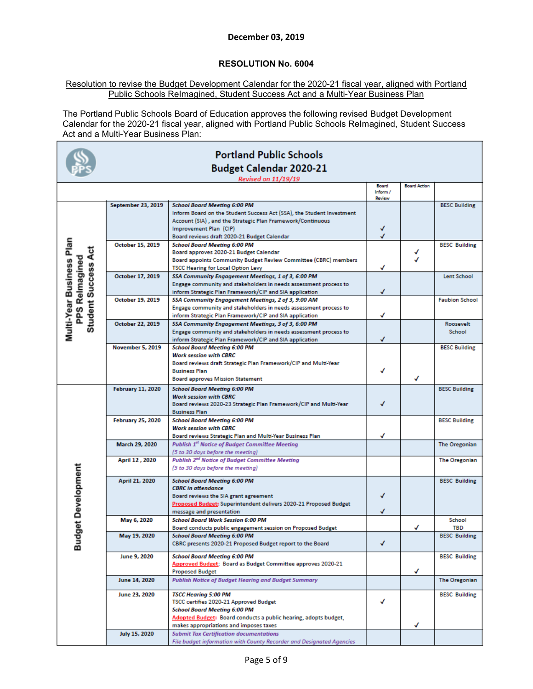## **RESOLUTION No. 6004**

#### Resolution to revise the Budget Development Calendar for the 2020-21 fiscal year, aligned with Portland Public Schools ReImagined, Student Success Act and a Multi-Year Business Plan

The Portland Public Schools Board of Education approves the following revised Budget Development Calendar for the 2020-21 fiscal year, aligned with Portland Public Schools ReImagined, Student Success Act and a Multi-Year Business Plan:

| <b>Portland Public Schools</b>               |                           |                                                                                                                             |                           |                     |                       |  |
|----------------------------------------------|---------------------------|-----------------------------------------------------------------------------------------------------------------------------|---------------------------|---------------------|-----------------------|--|
|                                              |                           | Budget Calendar 2020-21                                                                                                     |                           |                     |                       |  |
|                                              |                           | <b>Revised on 11/19/19</b>                                                                                                  |                           |                     |                       |  |
|                                              |                           |                                                                                                                             | Board                     | <b>Board Action</b> |                       |  |
|                                              |                           |                                                                                                                             | Inform /<br><b>Review</b> |                     |                       |  |
|                                              | <b>September 23, 2019</b> | <b>School Board Meeting 6:00 PM</b>                                                                                         |                           |                     | <b>BESC Building</b>  |  |
|                                              |                           | Inform Board on the Student Success Act (SSA), the Student Investment                                                       |                           |                     |                       |  |
|                                              |                           | Account (SIA), and the Strategic Plan Framework/Continuous                                                                  | √                         |                     |                       |  |
|                                              |                           | Improvement Plan (CIP)<br>Board reviews draft 2020-21 Budget Calendar                                                       |                           |                     |                       |  |
| Multi-Year Business Plan                     | October 15, 2019          | <b>School Board Meeting 6:00 PM</b>                                                                                         |                           |                     | <b>BESC Building</b>  |  |
|                                              |                           | Board approves 2020-21 Budget Calendar                                                                                      |                           |                     |                       |  |
|                                              |                           | Board appoints Community Budget Review Committee (CBRC) members                                                             |                           |                     |                       |  |
| <b>Student Success Act</b><br>PPS Relmagined |                           | <b>TSCC Hearing for Local Option Levy</b>                                                                                   | √                         |                     |                       |  |
|                                              | October 17, 2019          | SSA Community Engagement Meetings, 1 of 3, 6:00 PM                                                                          |                           |                     | <b>Lent School</b>    |  |
|                                              |                           | Engage community and stakeholders in needs assessment process to<br>inform Strategic Plan Framework/CIP and SIA application | ✓                         |                     |                       |  |
|                                              | October 19, 2019          | SSA Community Engagement Meetings, 2 of 3, 9:00 AM                                                                          |                           |                     | <b>Faubion School</b> |  |
|                                              |                           | Engage community and stakeholders in needs assessment process to                                                            |                           |                     |                       |  |
|                                              |                           | inform Strategic Plan Framework/CIP and SIA application                                                                     | ✓                         |                     |                       |  |
|                                              | October 22, 2019          | SSA Community Engagement Meetings, 3 of 3, 6:00 PM                                                                          |                           |                     | Roosevelt             |  |
|                                              |                           | Engage community and stakeholders in needs assessment process to                                                            |                           |                     | School                |  |
|                                              | <b>November 5, 2019</b>   | inform Strategic Plan Framework/CIP and SIA application<br><b>School Board Meeting 6:00 PM</b>                              | ✓                         |                     | <b>BESC Building</b>  |  |
|                                              |                           | <b>Work session with CBRC</b>                                                                                               |                           |                     |                       |  |
|                                              |                           | Board reviews draft Strategic Plan Framework/CIP and Multi-Year                                                             |                           |                     |                       |  |
|                                              |                           | <b>Business Plan</b>                                                                                                        |                           |                     |                       |  |
|                                              |                           | <b>Board approves Mission Statement</b>                                                                                     |                           |                     |                       |  |
|                                              | <b>February 11, 2020</b>  | <b>School Board Meeting 6:00 PM</b>                                                                                         |                           |                     | <b>BESC Building</b>  |  |
|                                              |                           | <b>Work session with CBRC</b>                                                                                               |                           |                     |                       |  |
|                                              |                           | Board reviews 2020-23 Strategic Plan Framework/CIP and Multi-Year<br><b>Business Plan</b>                                   | √                         |                     |                       |  |
|                                              | <b>February 25, 2020</b>  | <b>School Board Meeting 6:00 PM</b>                                                                                         |                           |                     | <b>BESC Building</b>  |  |
|                                              |                           | <b>Work session with CBRC</b>                                                                                               |                           |                     |                       |  |
|                                              |                           | Board reviews Strategic Plan and Multi-Year Business Plan                                                                   | ✓                         |                     |                       |  |
|                                              | March 29, 2020            | <b>Publish 1st Notice of Budget Committee Meeting</b>                                                                       |                           |                     | <b>The Oregonian</b>  |  |
|                                              |                           | (5 to 30 days before the meeting)                                                                                           |                           |                     |                       |  |
|                                              | April 12, 2020            | <b>Publish 2nd Notice of Budget Committee Meeting</b>                                                                       |                           |                     | <b>The Oregonian</b>  |  |
| <b>Budget Development</b>                    |                           | (5 to 30 days before the meeting)                                                                                           |                           |                     |                       |  |
|                                              | April 21, 2020            | <b>School Board Meeting 6:00 PM</b>                                                                                         |                           |                     | <b>BESC Building</b>  |  |
|                                              |                           | <b>CBRC</b> in attendance                                                                                                   |                           |                     |                       |  |
|                                              |                           | Board reviews the SIA grant agreement<br>Proposed Budget: Superintendent delivers 2020-21 Proposed Budget                   |                           |                     |                       |  |
|                                              |                           | message and presentation                                                                                                    | J                         |                     |                       |  |
|                                              | May 6, 2020               | <b>School Board Work Session 6:00 PM</b>                                                                                    |                           |                     | School                |  |
|                                              |                           | Board conducts public engagement session on Proposed Budget                                                                 |                           |                     | <b>TBD</b>            |  |
|                                              | May 19, 2020              | <b>School Board Meeting 6:00 PM</b>                                                                                         |                           |                     | <b>BESC Building</b>  |  |
|                                              |                           | CBRC presents 2020-21 Proposed Budget report to the Board                                                                   | √                         |                     |                       |  |
|                                              | June 9, 2020              | <b>School Board Meeting 6:00 PM</b>                                                                                         |                           |                     | <b>BESC Building</b>  |  |
|                                              |                           | Approved Budget: Board as Budget Committee approves 2020-21                                                                 |                           |                     |                       |  |
|                                              |                           | <b>Proposed Budget</b>                                                                                                      |                           | ✓                   |                       |  |
|                                              | June 14, 2020             | <b>Publish Notice of Budget Hearing and Budget Summary</b>                                                                  |                           |                     | The Oregonian         |  |
|                                              | June 23, 2020             | <b>TSCC Hearing 5:00 PM</b>                                                                                                 |                           |                     | <b>BESC Building</b>  |  |
|                                              |                           | TSCC certifies 2020-21 Approved Budget                                                                                      | √                         |                     |                       |  |
|                                              |                           | <b>School Board Meeting 6:00 PM</b>                                                                                         |                           |                     |                       |  |
|                                              |                           | Adopted Budget: Board conducts a public hearing, adopts budget,                                                             |                           | √                   |                       |  |
|                                              | July 15, 2020             | makes appropriations and imposes taxes<br><b>Submit Tax Certification documentations</b>                                    |                           |                     |                       |  |
|                                              |                           | File budget information with County Recorder and Designated Agencies                                                        |                           |                     |                       |  |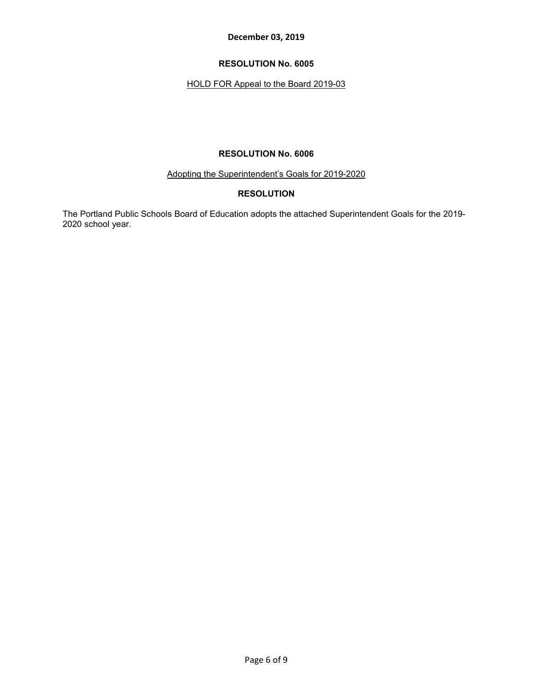## **RESOLUTION No. 6005**

## HOLD FOR Appeal to the Board 2019-03

## **RESOLUTION No. 6006**

Adopting the Superintendent's Goals for 2019-2020

## **RESOLUTION**

The Portland Public Schools Board of Education adopts the attached Superintendent Goals for the 2019- 2020 school year.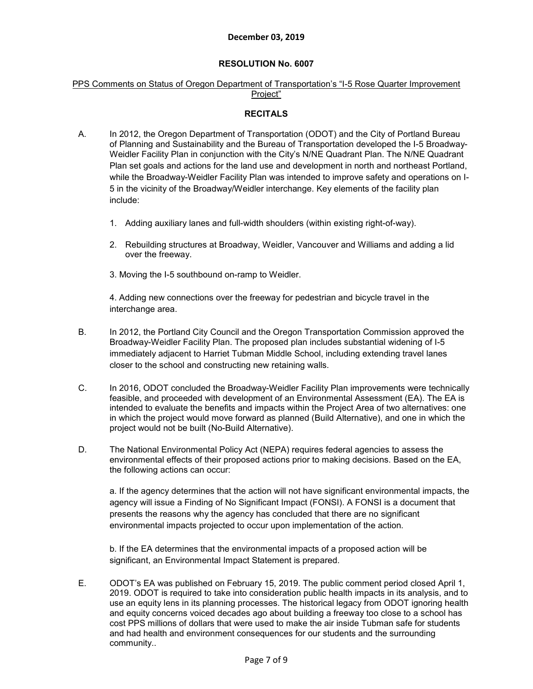## **RESOLUTION No. 6007**

## PPS Comments on Status of Oregon Department of Transportation's "I-5 Rose Quarter Improvement Project"

## **RECITALS**

- A. In 2012, the Oregon Department of Transportation (ODOT) and the City of Portland Bureau of Planning and Sustainability and the Bureau of Transportation developed the I-5 Broadway-Weidler Facility Plan in conjunction with the City's N/NE Quadrant Plan. The N/NE Quadrant Plan set goals and actions for the land use and development in north and northeast Portland, while the Broadway-Weidler Facility Plan was intended to improve safety and operations on I-5 in the vicinity of the Broadway/Weidler interchange. Key elements of the facility plan include:
	- 1. Adding auxiliary lanes and full-width shoulders (within existing right-of-way).
	- 2. Rebuilding structures at Broadway, Weidler, Vancouver and Williams and adding a lid over the freeway.
	- 3. Moving the I-5 southbound on-ramp to Weidler.

4. Adding new connections over the freeway for pedestrian and bicycle travel in the interchange area.

- B. In 2012, the Portland City Council and the Oregon Transportation Commission approved the Broadway-Weidler Facility Plan. The proposed plan includes substantial widening of I-5 immediately adjacent to Harriet Tubman Middle School, including extending travel lanes closer to the school and constructing new retaining walls.
- C. In 2016, ODOT concluded the Broadway-Weidler Facility Plan improvements were technically feasible, and proceeded with development of an Environmental Assessment (EA). The EA is intended to evaluate the benefits and impacts within the Project Area of two alternatives: one in which the project would move forward as planned (Build Alternative), and one in which the project would not be built (No-Build Alternative).
- D. The National Environmental Policy Act (NEPA) requires federal agencies to assess the environmental effects of their proposed actions prior to making decisions. Based on the EA, the following actions can occur:

a. If the agency determines that the action will not have significant environmental impacts, the agency will issue a Finding of No Significant Impact (FONSI). A FONSI is a document that presents the reasons why the agency has concluded that there are no significant environmental impacts projected to occur upon implementation of the action.

b. If the EA determines that the environmental impacts of a proposed action will be significant, an Environmental Impact Statement is prepared.

E. ODOT's EA was published on February 15, 2019. The public comment period closed April 1, 2019. ODOT is required to take into consideration public health impacts in its analysis, and to use an equity lens in its planning processes. The historical legacy from ODOT ignoring health and equity concerns voiced decades ago about building a freeway too close to a school has cost PPS millions of dollars that were used to make the air inside Tubman safe for students and had health and environment consequences for our students and the surrounding community..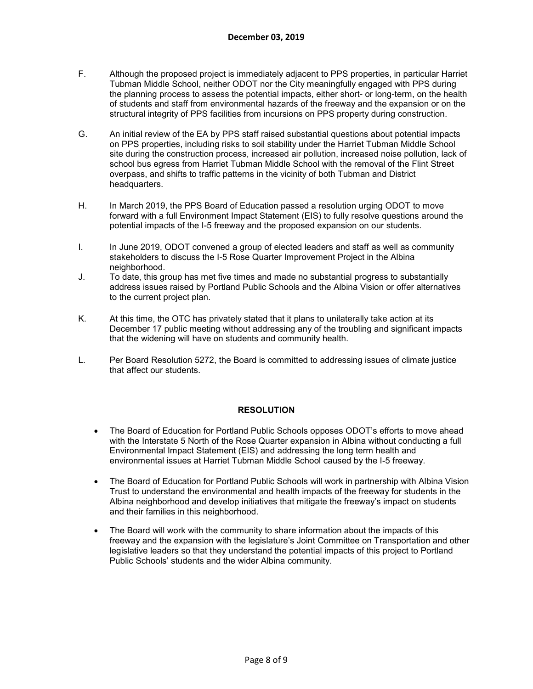- F. Although the proposed project is immediately adjacent to PPS properties, in particular Harriet Tubman Middle School, neither ODOT nor the City meaningfully engaged with PPS during the planning process to assess the potential impacts, either short- or long-term, on the health of students and staff from environmental hazards of the freeway and the expansion or on the structural integrity of PPS facilities from incursions on PPS property during construction.
- G. An initial review of the EA by PPS staff raised substantial questions about potential impacts on PPS properties, including risks to soil stability under the Harriet Tubman Middle School site during the construction process, increased air pollution, increased noise pollution, lack of school bus egress from Harriet Tubman Middle School with the removal of the Flint Street overpass, and shifts to traffic patterns in the vicinity of both Tubman and District headquarters.
- H. In March 2019, the PPS Board of Education passed a resolution urging ODOT to move forward with a full Environment Impact Statement (EIS) to fully resolve questions around the potential impacts of the I-5 freeway and the proposed expansion on our students.
- I. In June 2019, ODOT convened a group of elected leaders and staff as well as community stakeholders to discuss the I-5 Rose Quarter Improvement Project in the Albina neighborhood.
- J. To date, this group has met five times and made no substantial progress to substantially address issues raised by Portland Public Schools and the Albina Vision or offer alternatives to the current project plan.
- K. At this time, the OTC has privately stated that it plans to unilaterally take action at its December 17 public meeting without addressing any of the troubling and significant impacts that the widening will have on students and community health.
- L. Per Board Resolution 5272, the Board is committed to addressing issues of climate justice that affect our students.

## **RESOLUTION**

- The Board of Education for Portland Public Schools opposes ODOT's efforts to move ahead with the Interstate 5 North of the Rose Quarter expansion in Albina without conducting a full Environmental Impact Statement (EIS) and addressing the long term health and environmental issues at Harriet Tubman Middle School caused by the I-5 freeway.
- The Board of Education for Portland Public Schools will work in partnership with Albina Vision Trust to understand the environmental and health impacts of the freeway for students in the Albina neighborhood and develop initiatives that mitigate the freeway's impact on students and their families in this neighborhood.
- The Board will work with the community to share information about the impacts of this freeway and the expansion with the legislature's Joint Committee on Transportation and other legislative leaders so that they understand the potential impacts of this project to Portland Public Schools' students and the wider Albina community.